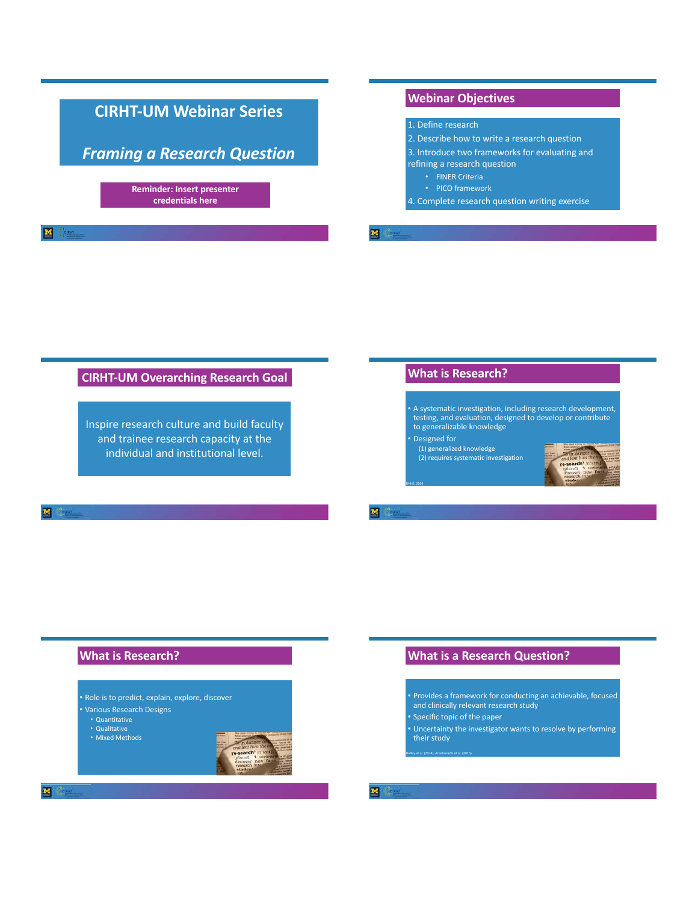# **Webinar Objectives CIRHT-UM Webinar Series**  1. Define research 2. Describe how to write a research question *Framing a Research Question*  3. Introduce two frameworks for evaluating and refining a research question • FINER Criteria • PICO framework **Reminder: Insert presenter credentials here** 4. Complete research question writing exercise **M** Cen

# **CIRHT-UM Overarching Research Goal**

Inspire research culture and build faculty and trainee research capacity at the individual and institutional level.

# **What is Research?**

- A systematic investigation, including research development, testing, and evaluation, designed to develop or contribute to generalizable knowledge
- Designed for

DHHS, 2005

(1) generalized knowledge (2) requires systematic investigation



囜

# **What is Research?**

- Role is to predict, explain, explore, discover
- Various Research Designs
- Quantitative • Qualitative
- Mixed Methods



 $\mathbf{M}$ 

# **What is a Research Question?**

- Provides a framework for conducting an achievable, focused and clinically relevant research study
- Specific topic of the paper

Hulley et al. (2014), Anastasiadis et al. (2015)

• Uncertainty the investigator wants to resolve by performing their study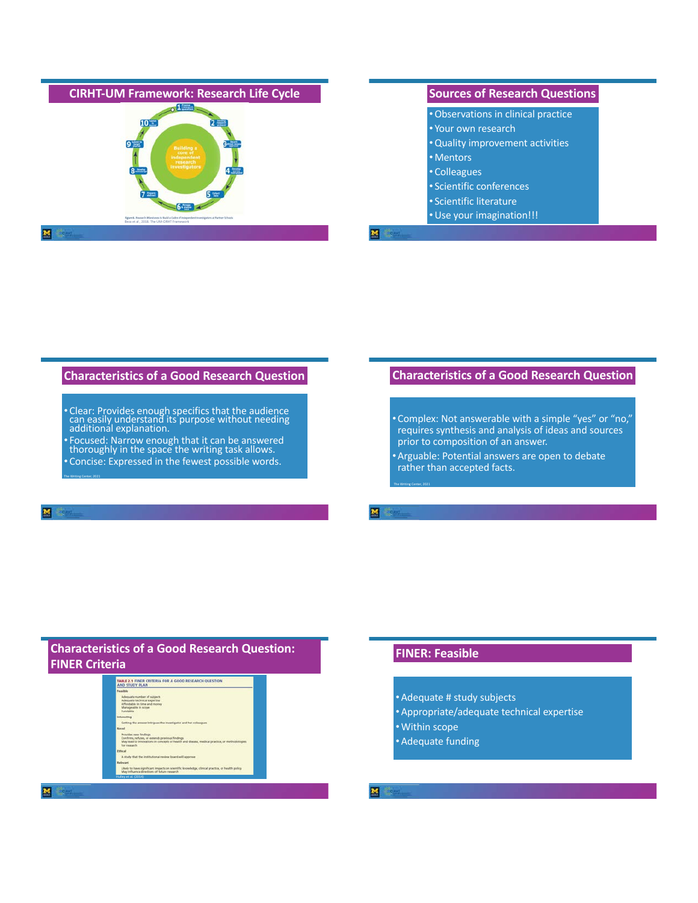

#### **Characteristics of a Good Research Question**

- Clear: Provides enough specifics that the audience can easily understand its purpose without needing additional explanation.
- Focused: Narrow enough that it can be answered thoroughly in the space the writing task allows. • Concise: Expressed in the fewest possible words.

# **Characteristics of a Good Research Question**

- Complex: Not answerable with a simple "yes" or "no," requires synthesis and analysis of ideas and sources prior to composition of an answer.
- •Arguable: Potential answers are open to debate rather than accepted facts.

# **Characteristics of a Good Research Question: FINER Criteria**



# **FINER: Feasible**

The Writing Center, 2021

M

- •Adequate # study subjects
- •Appropriate/adequate technical expertise
- •Within scope
- •Adequate funding

The Writing Center, 2021

 $\overline{\mathbf{M}}$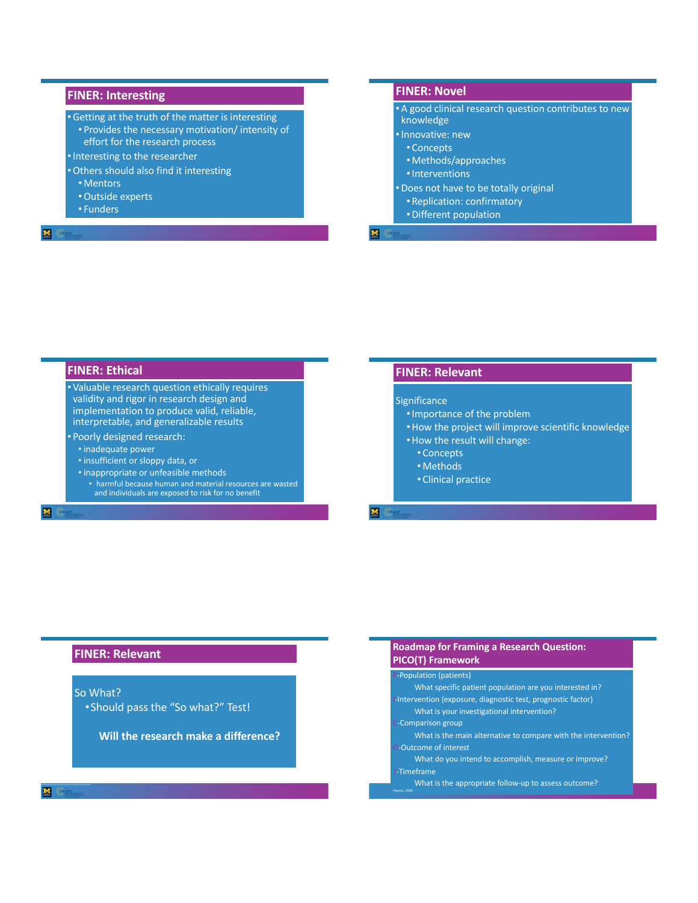### **FINER: Interesting**

- •Getting at the truth of the matter is interesting • Provides the necessary motivation/ intensity of effort for the research process
- •Interesting to the researcher
- •Others should also find it interesting • Mentors
	- •Outside experts
	- Funders
- 

#### **FINER: Novel**

•A good clinical research question contributes to new knowledge

- •Innovative: new
	- Concepts
	- Methods/approaches
	- •Interventions
- •Does not have to be totally original • Replication: confirmatory
	- •Different population

## **FINER: Ethical**

• Valuable research question ethically requires validity and rigor in research design and implementation to produce valid, reliable, interpretable, and generalizable results

- Poorly designed research:
	- inadequate power

図

- insufficient or sloppy data, or
- inappropriate or unfeasible methods • harmful because human and material resources are wasted and individuals are exposed to risk for no benefit

#### **FINER: Relevant**

#### **Significance**

- •Importance of the problem
- •How the project will improve scientific knowledge
- •How the result will change:
	- Concepts
	- Methods
	- Clinical practice

M

Haynes, 2006

#### **FINER: Relevant**

### So What?

•Should pass the "So what?" Test!

**Will the research make a difference?** 

#### **PICO(T) Framework**  P-Population (patients) What specific patient population are you interested in? I-Intervention (exposure, diagnostic test, prognostic factor) What is your investigational intervention? **Comparison group** What is the main alternative to compare with the intervention?

**Roadmap for Framing a Research Question:** 

O-Outcome of interest What do you intend to accomplish, measure or improve? T-Timeframe

What is the appropriate follow-up to assess outcome?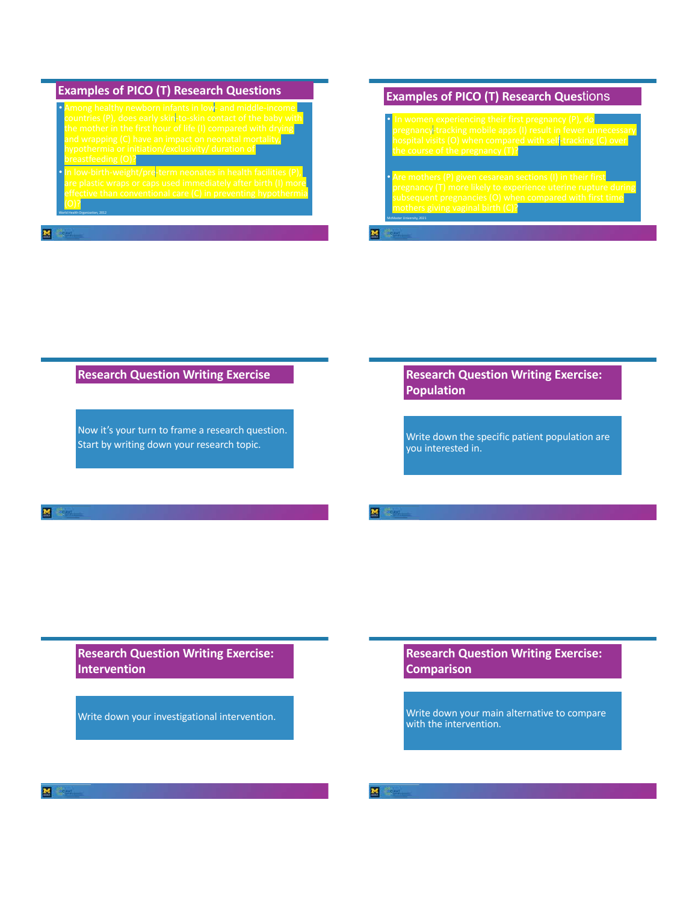| <b>Examples of PICO (T) Research Questions</b>                                                                                                                                                                                                                                                                                    |
|-----------------------------------------------------------------------------------------------------------------------------------------------------------------------------------------------------------------------------------------------------------------------------------------------------------------------------------|
| Among healthy newborn infants in low- and middle-income<br>countries (P), does early skin-to-skin contact of the baby with<br>the mother in the first hour of life (I) compared with drying<br>and wrapping (C) have an impact on neonatal mortality,<br>hypothermia or initiation/exclusivity/ duration of<br>breastfeeding (O)? |
| In low-birth-weight/pre-term neonates in health facilities (P),<br>are plastic wraps or caps used immediately after birth (I) more<br>effective than conventional care (C) in preventing hypothermia<br>World Health Organization, 2012                                                                                           |

# **Examples of PICO (T) Research Ques**tions

n women experiencing their first pregnancy (P), do $\blacksquare$ pregnancy-tracking mobile apps (I) result in fewer unnecessary hospital visits (O) when compared with self-tracking (C) over the course of the pregnancy (T)?

 $\alpha$ re mothers (P) given cesarean sections (I) in their first pregnancy (T) more likely to experience uterine rupture during subsequent pregnancies (O) when compared with first time **MOTHERS GIVING VAGINAL DITH (C)?**<br>McMaster University, 2021

# **Research Question Writing Exercise**

Now it's your turn to frame a research question. Start by writing down your research topic.

# **Research Question Writing Exercise: Population**

Write down the specific patient population are you interested in.

#### M

**Research Question Writing Exercise: Intervention**

Write down your investigational intervention.

# **Research Question Writing Exercise: Comparison**

Write down your main alternative to compare with the intervention.

м

図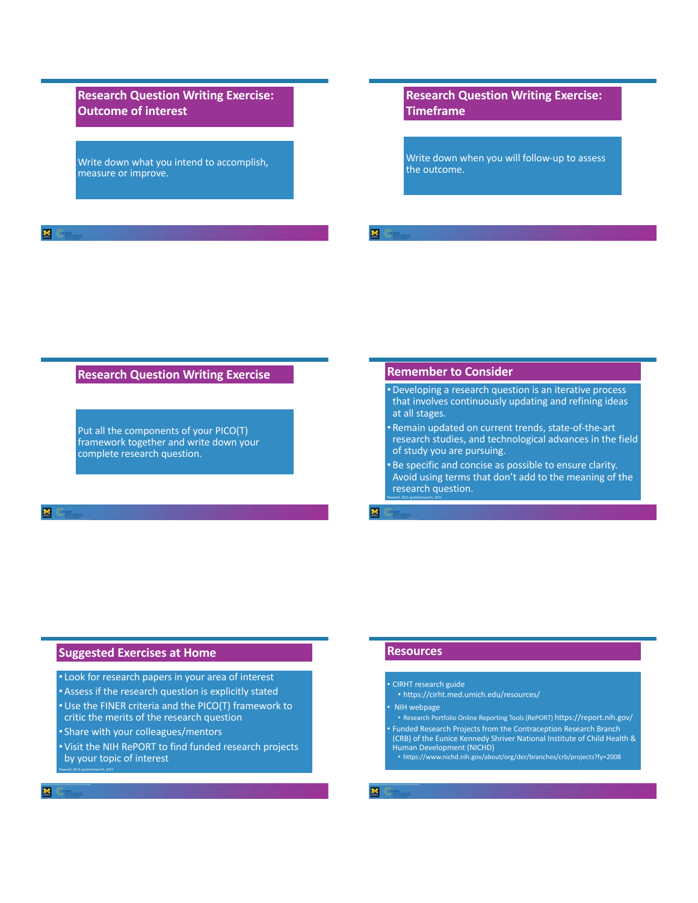**Research Question Writing Exercise: Outcome of interest**

Write down what you intend to accomplish, measure or improve.

**Research Question Writing Exercise: Timeframe**

Write down when you will follow-up to assess the outcome.

#### **Research Question Writing Exercise**

Put all the components of your PICO(T) framework together and write down your complete research question.

#### **Remember to Consider**

- •Developing a research question is an iterative process that involves continuously updating and refining ideas at all stages.
- Remain updated on current trends, state-of-the-art research studies, and technological advances in the field of study you are pursuing.
- Be specific and concise as possible to ensure clarity. Avoid using terms that don't add to the meaning of the research question.

# **Suggested Exercises at Home**

- Look for research papers in your area of interest
- •Assess if the research question is explicitly stated
- •Use the FINER criteria and the PICO(T) framework to critic the merits of the research question
- Share with your colleagues/mentors
- Visit the NIH RePORT to find funded research projects by your topic of interest

# **Resources**

Maxwell, 2013; guide2research, 2021

囜

- CIRHT research guide
- https://cirht.med.umich.edu/resources/
- NIH webpage
- Research Portfolio Online Reporting Tools (RePORT) https://report.nih.gov/
- Funded Research Projects from the Contraception Research Branch (CRB) of the Eunice Kennedy Shriver National Institute of Child Health & Human Development (NICHD) • https://www.nichd.nih.gov/about/org/der/branches/crb/projects?fy=2008
- 
- 

 $\overline{\mathbf{M}}$ 

Maxwell, 2013; guide2research, 2021